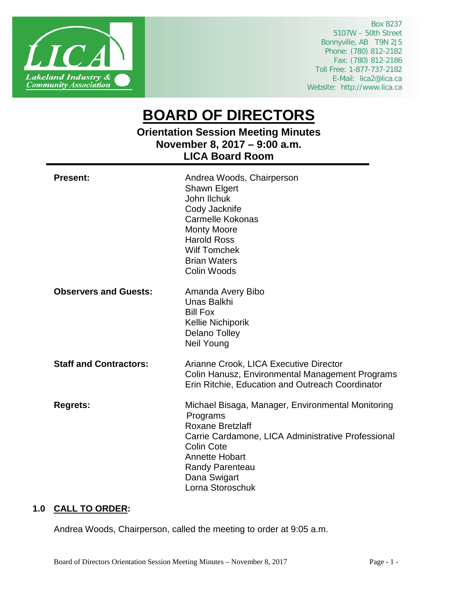

Box 8237 5107W – 50th Street Bonnyville, AB T9N 2J5 Phone: (780) 812-2182 Fax: (780) 812-2186 Toll Free: 1-877-737-2182 E-Mail: lica2@lica.ca Website: http://www.lica.ca

# **BOARD OF DIRECTORS**

**Orientation Session Meeting Minutes November 8, 2017 – 9:00 a.m. LICA Board Room**

| <b>Present:</b>               | Andrea Woods, Chairperson<br>Shawn Elgert<br>John Ilchuk<br>Cody Jacknife<br><b>Carmelle Kokonas</b><br><b>Monty Moore</b><br><b>Harold Ross</b><br><b>Wilf Tomchek</b><br><b>Brian Waters</b><br>Colin Woods                                              |
|-------------------------------|------------------------------------------------------------------------------------------------------------------------------------------------------------------------------------------------------------------------------------------------------------|
| <b>Observers and Guests:</b>  | Amanda Avery Bibo<br>Unas Balkhi<br><b>Bill Fox</b><br><b>Kellie Nichiporik</b><br><b>Delano Tolley</b><br><b>Neil Young</b>                                                                                                                               |
| <b>Staff and Contractors:</b> | Arianne Crook, LICA Executive Director<br>Colin Hanusz, Environmental Management Programs<br>Erin Ritchie, Education and Outreach Coordinator                                                                                                              |
| <b>Regrets:</b>               | Michael Bisaga, Manager, Environmental Monitoring<br>Programs<br><b>Roxane Bretzlaff</b><br>Carrie Cardamone, LICA Administrative Professional<br><b>Colin Cote</b><br><b>Annette Hobart</b><br><b>Randy Parenteau</b><br>Dana Swigart<br>Lorna Storoschuk |

# **1.0 CALL TO ORDER:**

Andrea Woods, Chairperson, called the meeting to order at 9:05 a.m.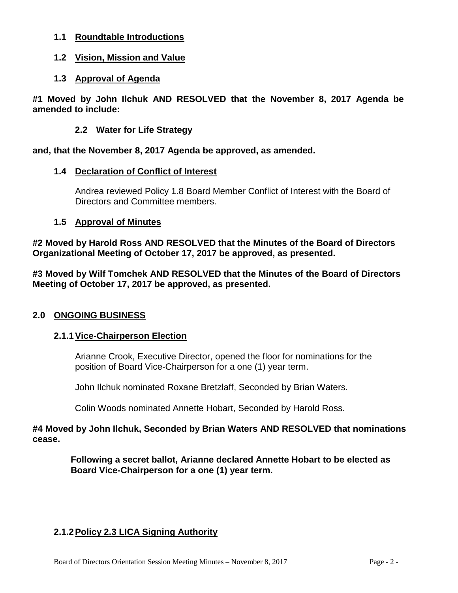- **1.1 Roundtable Introductions**
- **1.2 Vision, Mission and Value**
- **1.3 Approval of Agenda**

**#1 Moved by John Ilchuk AND RESOLVED that the November 8, 2017 Agenda be amended to include:**

# **2.2 Water for Life Strategy**

**and, that the November 8, 2017 Agenda be approved, as amended.**

# **1.4 Declaration of Conflict of Interest**

Andrea reviewed Policy 1.8 Board Member Conflict of Interest with the Board of Directors and Committee members.

# **1.5 Approval of Minutes**

**#2 Moved by Harold Ross AND RESOLVED that the Minutes of the Board of Directors Organizational Meeting of October 17, 2017 be approved, as presented.**

**#3 Moved by Wilf Tomchek AND RESOLVED that the Minutes of the Board of Directors Meeting of October 17, 2017 be approved, as presented.**

# **2.0 ONGOING BUSINESS**

# **2.1.1Vice-Chairperson Election**

Arianne Crook, Executive Director, opened the floor for nominations for the position of Board Vice-Chairperson for a one (1) year term.

John Ilchuk nominated Roxane Bretzlaff, Seconded by Brian Waters.

Colin Woods nominated Annette Hobart, Seconded by Harold Ross.

**#4 Moved by John Ilchuk, Seconded by Brian Waters AND RESOLVED that nominations cease.**

> **Following a secret ballot, Arianne declared Annette Hobart to be elected as Board Vice-Chairperson for a one (1) year term.**

# **2.1.2Policy 2.3 LICA Signing Authority**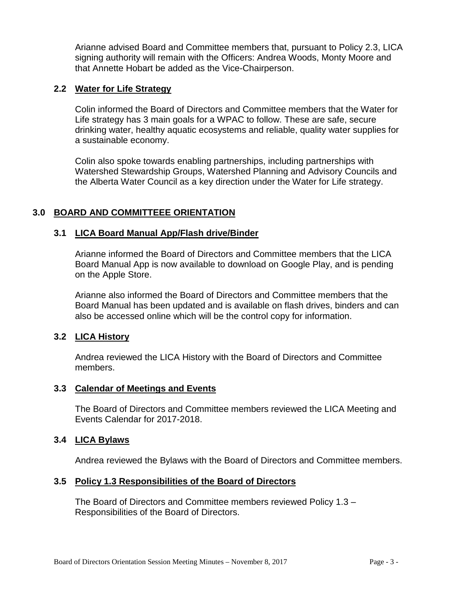Arianne advised Board and Committee members that, pursuant to Policy 2.3, LICA signing authority will remain with the Officers: Andrea Woods, Monty Moore and that Annette Hobart be added as the Vice-Chairperson.

# **2.2 Water for Life Strategy**

Colin informed the Board of Directors and Committee members that the Water for Life strategy has 3 main goals for a WPAC to follow. These are safe, secure drinking water, healthy aquatic ecosystems and reliable, quality water supplies for a sustainable economy.

Colin also spoke towards enabling partnerships, including partnerships with Watershed Stewardship Groups, Watershed Planning and Advisory Councils and the Alberta Water Council as a key direction under the Water for Life strategy.

# **3.0 BOARD AND COMMITTEEE ORIENTATION**

# **3.1 LICA Board Manual App/Flash drive/Binder**

Arianne informed the Board of Directors and Committee members that the LICA Board Manual App is now available to download on Google Play, and is pending on the Apple Store.

Arianne also informed the Board of Directors and Committee members that the Board Manual has been updated and is available on flash drives, binders and can also be accessed online which will be the control copy for information.

#### **3.2 LICA History**

Andrea reviewed the LICA History with the Board of Directors and Committee members.

#### **3.3 Calendar of Meetings and Events**

The Board of Directors and Committee members reviewed the LICA Meeting and Events Calendar for 2017-2018.

#### **3.4 LICA Bylaws**

Andrea reviewed the Bylaws with the Board of Directors and Committee members.

#### **3.5 Policy 1.3 Responsibilities of the Board of Directors**

The Board of Directors and Committee members reviewed Policy 1.3 – Responsibilities of the Board of Directors.